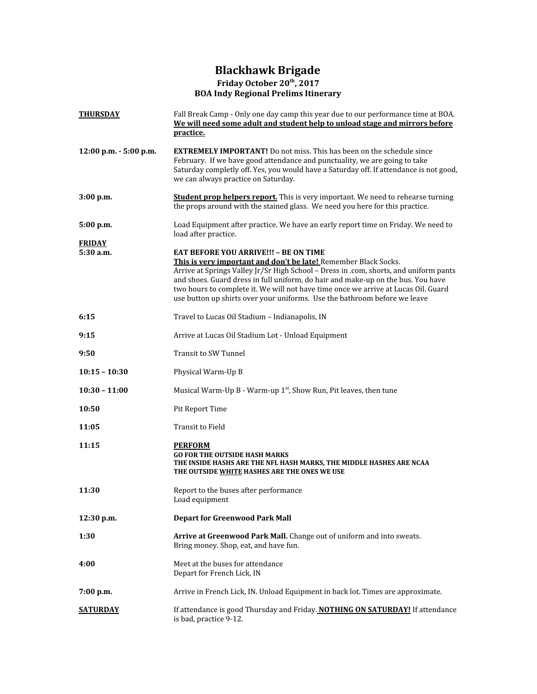## **Blackhawk Brigade Friday October 20 th , 2017 BOA Indy Regional Prelims Itinerary**

| <b>THURSDAY</b>            | Fall Break Camp - Only one day camp this year due to our performance time at BOA.<br>We will need some adult and student help to unload stage and mirrors before<br>practice.                                                                                                                                                                                                                                                                                   |  |  |  |  |  |  |  |
|----------------------------|-----------------------------------------------------------------------------------------------------------------------------------------------------------------------------------------------------------------------------------------------------------------------------------------------------------------------------------------------------------------------------------------------------------------------------------------------------------------|--|--|--|--|--|--|--|
| $12:00$ p.m. $-5:00$ p.m.  | <b>EXTREMELY IMPORTANT!</b> Do not miss. This has been on the schedule since<br>February. If we have good attendance and punctuality, we are going to take<br>Saturday completly off. Yes, you would have a Saturday off. If attendance is not good,<br>we can always practice on Saturday.                                                                                                                                                                     |  |  |  |  |  |  |  |
| $3:00$ p.m.                | <b>Student prop helpers report.</b> This is very important. We need to rehearse turning<br>the props around with the stained glass. We need you here for this practice.                                                                                                                                                                                                                                                                                         |  |  |  |  |  |  |  |
| 5:00 p.m.                  | Load Equipment after practice. We have an early report time on Friday. We need to<br>load after practice.                                                                                                                                                                                                                                                                                                                                                       |  |  |  |  |  |  |  |
| <b>FRIDAY</b><br>5:30 a.m. | <b>EAT BEFORE YOU ARRIVE!!! - BE ON TIME</b><br>This is very important and don't be late! Remember Black Socks.<br>Arrive at Springs Valley Jr/Sr High School - Dress in .com, shorts, and uniform pants<br>and shoes. Guard dress in full uniform, do hair and make-up on the bus. You have<br>two hours to complete it. We will not have time once we arrive at Lucas Oil. Guard<br>use button up shirts over your uniforms. Use the bathroom before we leave |  |  |  |  |  |  |  |
| 6:15                       | Travel to Lucas Oil Stadium - Indianapolis, IN                                                                                                                                                                                                                                                                                                                                                                                                                  |  |  |  |  |  |  |  |
| 9:15                       | Arrive at Lucas Oil Stadium Lot - Unload Equipment                                                                                                                                                                                                                                                                                                                                                                                                              |  |  |  |  |  |  |  |
| 9:50                       | <b>Transit to SW Tunnel</b>                                                                                                                                                                                                                                                                                                                                                                                                                                     |  |  |  |  |  |  |  |
| $10:15 - 10:30$            | Physical Warm-Up B                                                                                                                                                                                                                                                                                                                                                                                                                                              |  |  |  |  |  |  |  |
| $10:30 - 11:00$            | Musical Warm-Up B - Warm-up $1st$ , Show Run, Pit leaves, then tune                                                                                                                                                                                                                                                                                                                                                                                             |  |  |  |  |  |  |  |
| 10:50                      | Pit Report Time                                                                                                                                                                                                                                                                                                                                                                                                                                                 |  |  |  |  |  |  |  |
| 11:05                      | Transit to Field                                                                                                                                                                                                                                                                                                                                                                                                                                                |  |  |  |  |  |  |  |
| 11:15                      | <b>PERFORM</b><br><b>GO FOR THE OUTSIDE HASH MARKS</b><br>THE INSIDE HASHS ARE THE NFL HASH MARKS, THE MIDDLE HASHES ARE NCAA<br>THE OUTSIDE WHITE HASHES ARE THE ONES WE USE                                                                                                                                                                                                                                                                                   |  |  |  |  |  |  |  |
| 11:30                      | Report to the buses after performance<br>Load equipment                                                                                                                                                                                                                                                                                                                                                                                                         |  |  |  |  |  |  |  |
| 12:30 p.m.                 | <b>Depart for Greenwood Park Mall</b>                                                                                                                                                                                                                                                                                                                                                                                                                           |  |  |  |  |  |  |  |
| 1:30                       | Arrive at Greenwood Park Mall. Change out of uniform and into sweats.<br>Bring money. Shop, eat, and have fun.                                                                                                                                                                                                                                                                                                                                                  |  |  |  |  |  |  |  |
| 4:00                       | Meet at the buses for attendance<br>Depart for French Lick, IN                                                                                                                                                                                                                                                                                                                                                                                                  |  |  |  |  |  |  |  |
| 7:00 p.m.                  | Arrive in French Lick, IN. Unload Equipment in back lot. Times are approximate.                                                                                                                                                                                                                                                                                                                                                                                 |  |  |  |  |  |  |  |
| <b>SATURDAY</b>            | If attendance is good Thursday and Friday. NOTHING ON SATURDAY! If attendance<br>is bad, practice 9-12.                                                                                                                                                                                                                                                                                                                                                         |  |  |  |  |  |  |  |